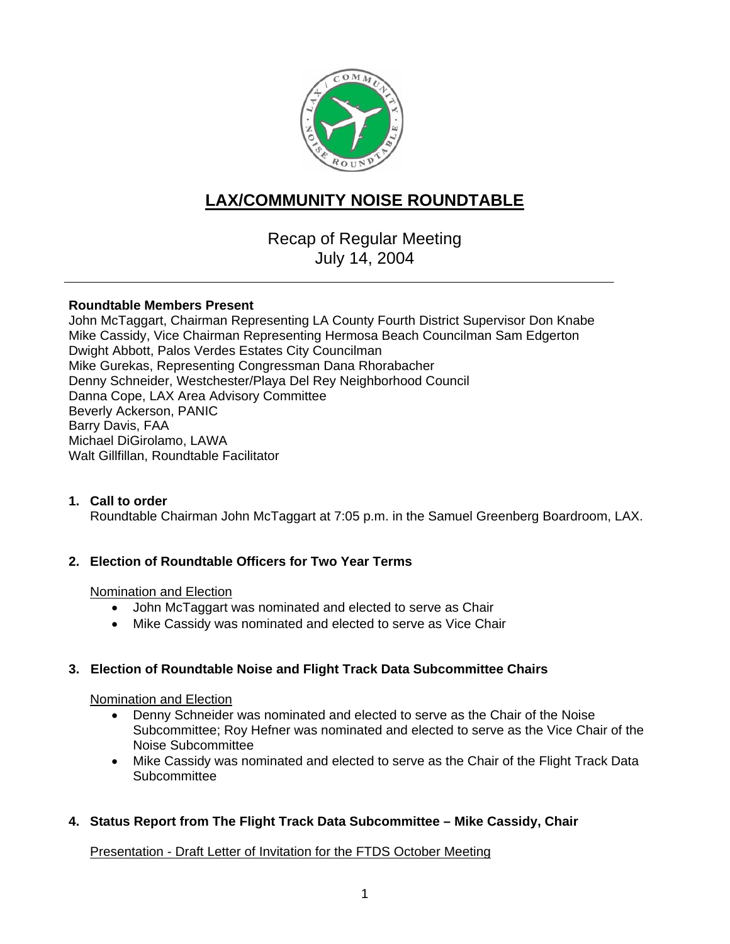

# **LAX/COMMUNITY NOISE ROUNDTABLE**

Recap of Regular Meeting July 14, 2004

#### **Roundtable Members Present**

John McTaggart, Chairman Representing LA County Fourth District Supervisor Don Knabe Mike Cassidy, Vice Chairman Representing Hermosa Beach Councilman Sam Edgerton Dwight Abbott, Palos Verdes Estates City Councilman Mike Gurekas, Representing Congressman Dana Rhorabacher Denny Schneider, Westchester/Playa Del Rey Neighborhood Council Danna Cope, LAX Area Advisory Committee Beverly Ackerson, PANIC Barry Davis, FAA Michael DiGirolamo, LAWA Walt Gillfillan, Roundtable Facilitator

## **1. Call to order**

Roundtable Chairman John McTaggart at 7:05 p.m. in the Samuel Greenberg Boardroom, LAX.

## **2. Election of Roundtable Officers for Two Year Terms**

#### Nomination and Election

- John McTaggart was nominated and elected to serve as Chair
- Mike Cassidy was nominated and elected to serve as Vice Chair

## **3. Election of Roundtable Noise and Flight Track Data Subcommittee Chairs**

#### Nomination and Election

- Denny Schneider was nominated and elected to serve as the Chair of the Noise Subcommittee; Roy Hefner was nominated and elected to serve as the Vice Chair of the Noise Subcommittee
- Mike Cassidy was nominated and elected to serve as the Chair of the Flight Track Data Subcommittee
- **4. Status Report from The Flight Track Data Subcommittee Mike Cassidy, Chair**

Presentation - Draft Letter of Invitation for the FTDS October Meeting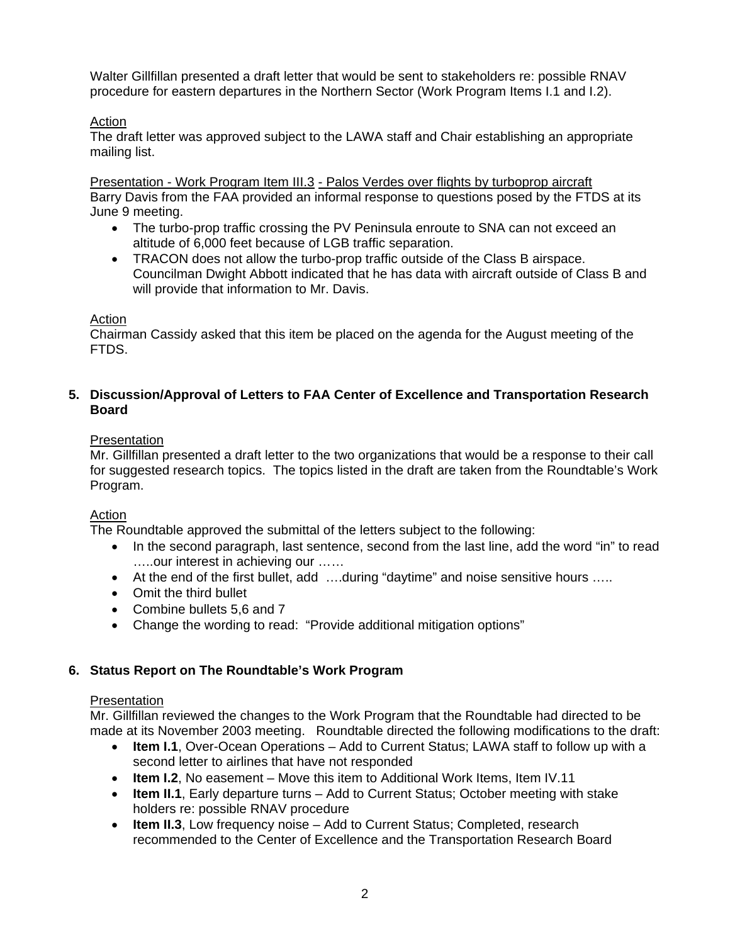Walter Gillfillan presented a draft letter that would be sent to stakeholders re: possible RNAV procedure for eastern departures in the Northern Sector (Work Program Items I.1 and I.2).

## Action

The draft letter was approved subject to the LAWA staff and Chair establishing an appropriate mailing list.

Presentation - Work Program Item III.3 - Palos Verdes over flights by turboprop aircraft Barry Davis from the FAA provided an informal response to questions posed by the FTDS at its June 9 meeting.

- The turbo-prop traffic crossing the PV Peninsula enroute to SNA can not exceed an altitude of 6,000 feet because of LGB traffic separation.
- TRACON does not allow the turbo-prop traffic outside of the Class B airspace. Councilman Dwight Abbott indicated that he has data with aircraft outside of Class B and will provide that information to Mr. Davis.

## **Action**

Chairman Cassidy asked that this item be placed on the agenda for the August meeting of the FTDS.

## **5. Discussion/Approval of Letters to FAA Center of Excellence and Transportation Research Board**

## **Presentation**

Mr. Gillfillan presented a draft letter to the two organizations that would be a response to their call for suggested research topics. The topics listed in the draft are taken from the Roundtable's Work Program.

## Action

The Roundtable approved the submittal of the letters subject to the following:

- In the second paragraph, last sentence, second from the last line, add the word "in" to read …..our interest in achieving our ……
- At the end of the first bullet, add ….during "daytime" and noise sensitive hours …..
- Omit the third bullet
- Combine bullets 5,6 and 7
- Change the wording to read: "Provide additional mitigation options"

# **6. Status Report on The Roundtable's Work Program**

## **Presentation**

Mr. Gillfillan reviewed the changes to the Work Program that the Roundtable had directed to be made at its November 2003 meeting. Roundtable directed the following modifications to the draft:

- **Item I.1**, Over-Ocean Operations Add to Current Status; LAWA staff to follow up with a second letter to airlines that have not responded
- **Item I.2**, No easement Move this item to Additional Work Items, Item IV.11
- **Item II.1**, Early departure turns Add to Current Status; October meeting with stake holders re: possible RNAV procedure
- **Item II.3**, Low frequency noise Add to Current Status; Completed, research recommended to the Center of Excellence and the Transportation Research Board